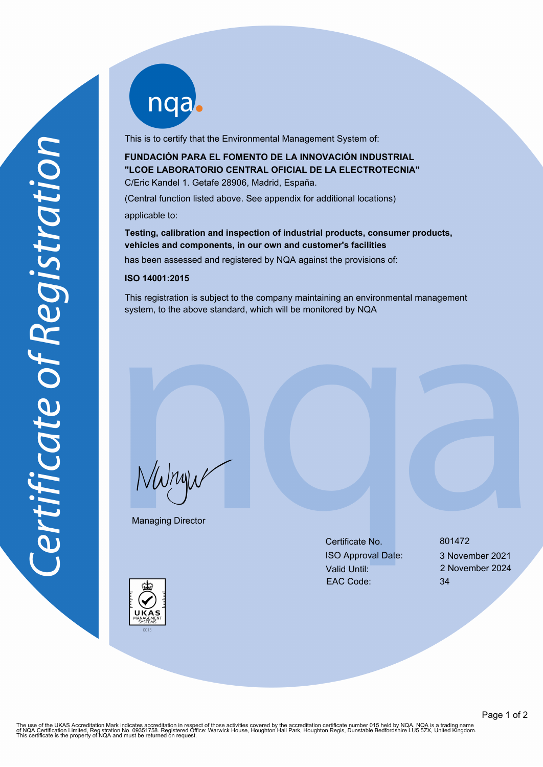nqab

This is to certify that the Environmental Management System of:

**FUNDACIÓN PARA EL FOMENTO DE LA INNOVACIÓN INDUSTRIAL "LCOE LABORATORIO CENTRAL OFICIAL DE LA ELECTROTECNIA"** C/Eric Kandel 1. Getafe 28906, Madrid, España.

(Central function listed above. See appendix for additional locations) applicable to:

**Testing, calibration and inspection of industrial products, consumer products, vehicles and components, in our own and customer's facilities**

has been assessed and registered by NQA against the provisions of:

## **ISO 14001:2015**

This registration is subject to the company maintaining an environmental management system, to the above standard, which will be monitored by NQA

NWnyw

Managing Director

Certificate No. 801472 ISO Approval Date: 3 November 2021 Valid Until: 2 November 2024 EAC Code: 34